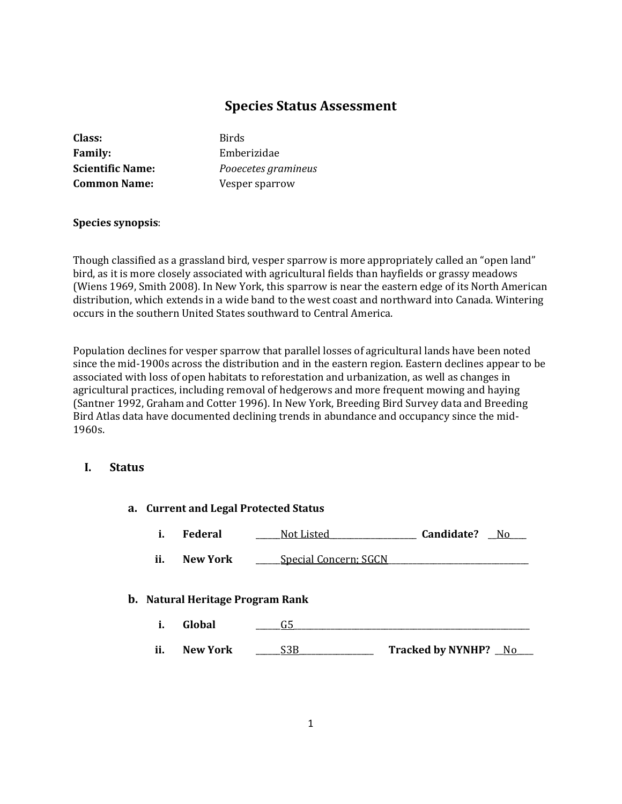# **Species Status Assessment**

| Class:                  | Birds |
|-------------------------|-------|
| <b>Family:</b>          | Embe  |
| <b>Scientific Name:</b> | Pooed |
| <b>Common Name:</b>     | Vespe |

**Family:** Emberizidae **Scientific Name:** *Pooecetes gramineus* **Exame:** Compare Sparrow

# **Species synopsis**:

Though classified as a grassland bird, vesper sparrow is more appropriately called an "open land" bird, as it is more closely associated with agricultural fields than hayfields or grassy meadows (Wiens 1969, Smith 2008). In New York, this sparrow is near the eastern edge of its North American distribution, which extends in a wide band to the west coast and northward into Canada. Wintering occurs in the southern United States southward to Central America.

Population declines for vesper sparrow that parallel losses of agricultural lands have been noted since the mid-1900s across the distribution and in the eastern region. Eastern declines appear to be associated with loss of open habitats to reforestation and urbanization, as well as changes in agricultural practices, including removal of hedgerows and more frequent mowing and haying (Santner 1992, Graham and Cotter 1996). In New York, Breeding Bird Survey data and Breeding Bird Atlas data have documented declining trends in abundance and occupancy since the mid-1960s.

# **I. Status**

| a. Current and Legal Protected Status   |                 |                       |                      |
|-----------------------------------------|-----------------|-----------------------|----------------------|
| i.                                      | <b>Federal</b>  | Not Listed            | Candidate?<br>No.    |
| ii.                                     | <b>New York</b> | Special Concern; SGCN |                      |
| <b>b.</b> Natural Heritage Program Rank |                 |                       |                      |
| i.                                      | Global          | G5                    |                      |
| ii.                                     | <b>New York</b> | S3B                   | Tracked by NYNHP? No |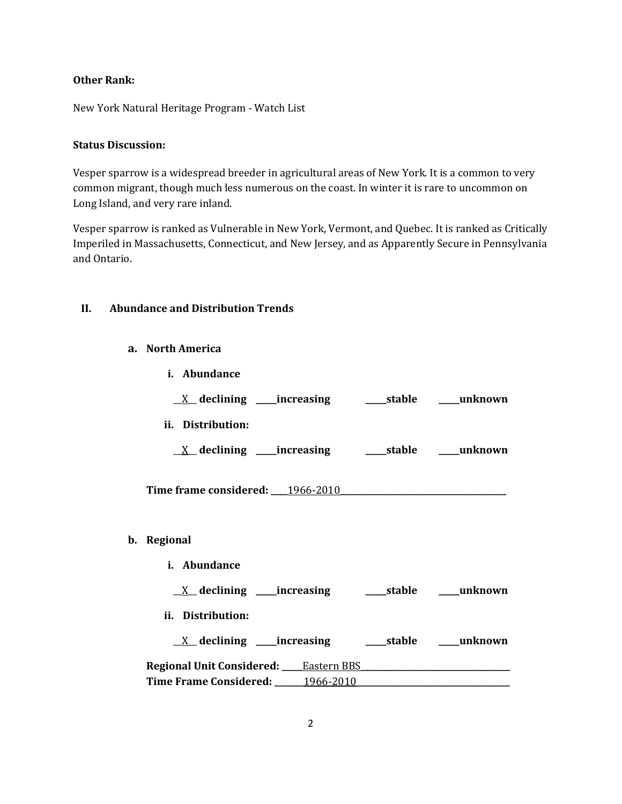# **Other Rank:**

New York Natural Heritage Program - Watch List

#### **Status Discussion:**

Vesper sparrow is a widespread breeder in agricultural areas of New York. It is a common to very common migrant, though much less numerous on the coast. In winter it is rare to uncommon on Long Island, and very rare inland.

Vesper sparrow is ranked as Vulnerable in New York, Vermont, and Quebec. It is ranked as Critically Imperiled in Massachusetts, Connecticut, and New Jersey, and as Apparently Secure in Pennsylvania and Ontario.

## **II. Abundance and Distribution Trends**

**a. North America**

| i. Abundance                                                                                                    |  |
|-----------------------------------------------------------------------------------------------------------------|--|
| $\underline{X}$ declining ____increasing __________stable ______unknown                                         |  |
| ii. Distribution:                                                                                               |  |
| $\underline{X}$ declining ____increasing __________stable ______unknown                                         |  |
| Time frame considered: 1966-2010                                                                                |  |
|                                                                                                                 |  |
| b. Regional                                                                                                     |  |
| i. Abundance                                                                                                    |  |
|                                                                                                                 |  |
| ii. Distribution:                                                                                               |  |
|                                                                                                                 |  |
| Regional Unit Considered: Eastern BBS [1951] [2010] [2010] [2010] [2010] [2010] [2010] [2010] [2010] [2010] [20 |  |
| Time Frame Considered: 1966-2010                                                                                |  |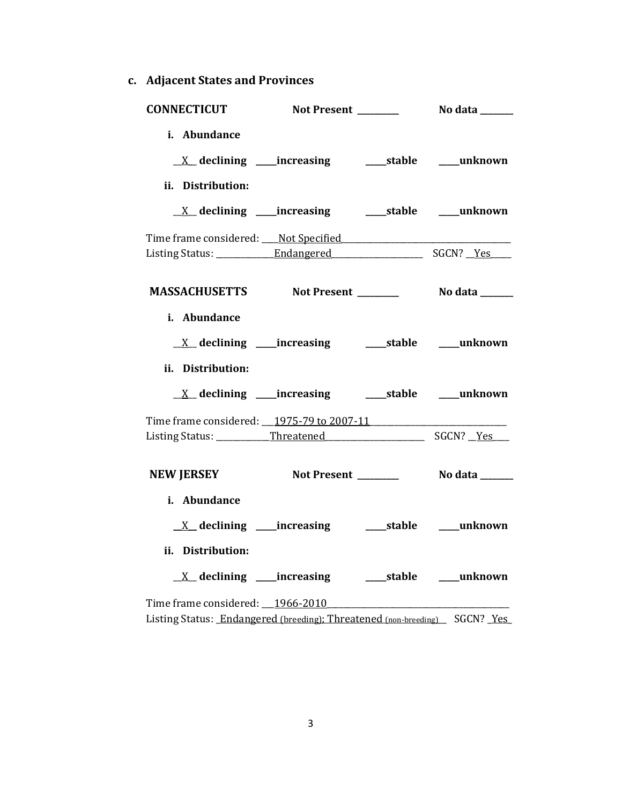**c. Adjacent States and Provinces**

| <b>CONNECTICUT</b>                                                                                             |  | <b>Not Present ________</b> No data ______ |
|----------------------------------------------------------------------------------------------------------------|--|--------------------------------------------|
| i. Abundance<br>ii. Distribution:                                                                              |  |                                            |
| <u>X</u> declining ____increasing ______stable ____unknown                                                     |  |                                            |
|                                                                                                                |  |                                            |
| MASSACHUSETTS Not Present _________ No data ______                                                             |  |                                            |
| i. Abundance<br>ii. Distribution:                                                                              |  |                                            |
|                                                                                                                |  |                                            |
| Time frame considered: 1975-79 to 2007-11                                                                      |  |                                            |
|                                                                                                                |  |                                            |
| i. Abundance<br>ii. Distribution:<br><u>X</u> declining ____increasing ______stable ____unknown                |  |                                            |
| Time frame considered: 1966-2010<br>Listing Status: Endangered (breeding); Threatened (non-breeding) SGCN? Yes |  |                                            |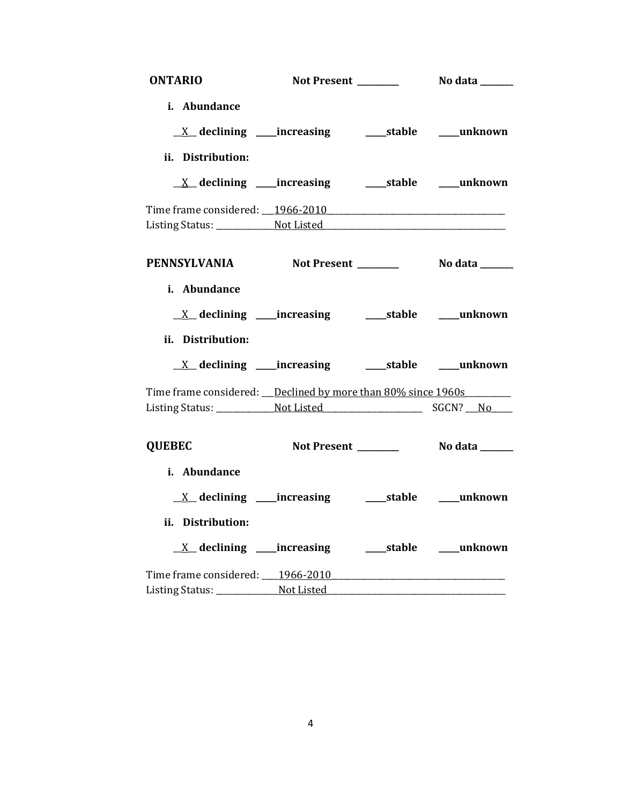| <b>ONTARIO</b>                                                 | Not Present ______  | No data _______             |
|----------------------------------------------------------------|---------------------|-----------------------------|
| i. Abundance                                                   |                     |                             |
| <u>X</u> declining ____increasing ______stable _____unknown    |                     |                             |
| ii. Distribution:                                              |                     |                             |
| <u>X</u> declining ____increasing _______stable _____unknown   |                     |                             |
|                                                                |                     |                             |
|                                                                |                     |                             |
| PENNSYLVANIA Not Present _______                               |                     | No data _______             |
| i. Abundance                                                   |                     |                             |
| <u>X</u> declining ____increasing ______stable ____unknown     |                     |                             |
| ii. Distribution:                                              |                     |                             |
| <u>X</u> declining ____increasing _______stable _____unknown   |                     |                             |
| Time frame considered: __Declined by more than 80% since 1960s |                     |                             |
|                                                                |                     |                             |
| <b>QUEBEC</b>                                                  | Not Present _______ | No data ______              |
| i. Abundance                                                   |                     |                             |
| $X$ declining _____increasing                                  |                     | ______stable _______unknown |
| ii. Distribution:                                              |                     |                             |
| <u>X</u> declining ____increasing ______stable ____unknown     |                     |                             |
|                                                                |                     |                             |
|                                                                |                     |                             |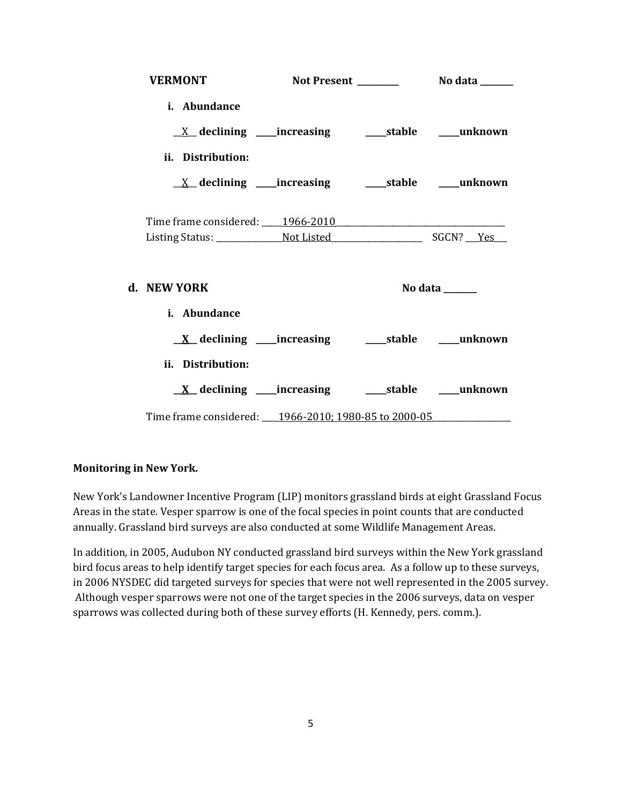| <b>VERMONT</b>                                                          |  |                                   |
|-------------------------------------------------------------------------|--|-----------------------------------|
| i. Abundance                                                            |  |                                   |
| $\underline{X}$ declining ____increasing __________stable ______unknown |  |                                   |
| ii. Distribution:                                                       |  |                                   |
| $\underline{X}$ declining ____increasing __________stable ______unknown |  |                                   |
|                                                                         |  |                                   |
| d. NEW YORK                                                             |  | No data $\_\_\_\_\_\_\_\_\_\_\_\$ |
| i. Abundance                                                            |  |                                   |
|                                                                         |  |                                   |
| ii. Distribution:                                                       |  |                                   |
| <u>X</u> declining ____increasing _______stable _____unknown            |  |                                   |
| Time frame considered: ____ 1966-2010; 1980-85 to 2000-05               |  |                                   |

### **Monitoring in New York.**

New York's Landowner Incentive Program (LIP) monitors grassland birds at eight Grassland Focus Areas in the state. Vesper sparrow is one of the focal species in point counts that are conducted annually. Grassland bird surveys are also conducted at some Wildlife Management Areas.

In addition, in 2005, Audubon NY conducted grassland bird surveys within the New York grassland bird focus areas to help identify target species for each focus area. As a follow up to these surveys, in 2006 NYSDEC did targeted surveys for species that were not well represented in the 2005 survey. Although vesper sparrows were not one of the target species in the 2006 surveys, data on vesper sparrows was collected during both of these survey efforts (H. Kennedy, pers. comm.).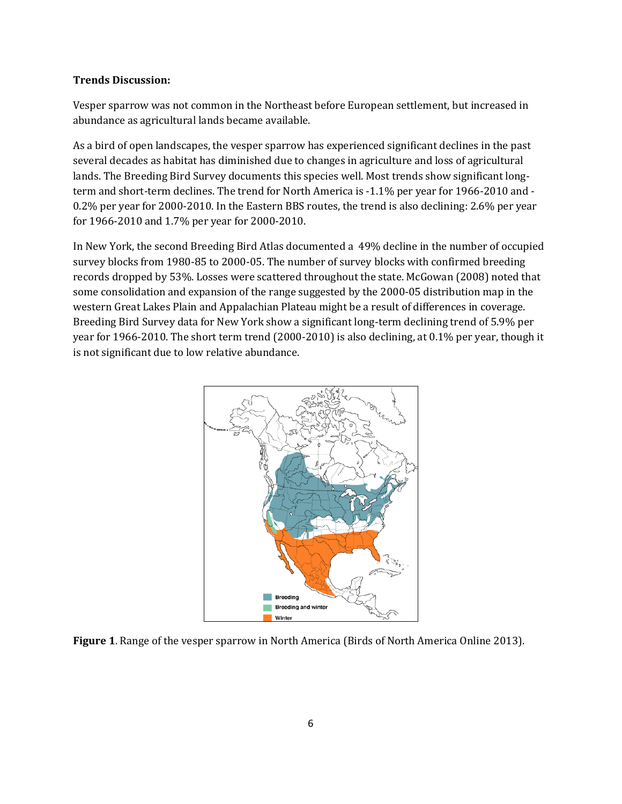#### **Trends Discussion:**

Vesper sparrow was not common in the Northeast before European settlement, but increased in abundance as agricultural lands became available.

As a bird of open landscapes, the vesper sparrow has experienced significant declines in the past several decades as habitat has diminished due to changes in agriculture and loss of agricultural lands. The Breeding Bird Survey documents this species well. Most trends show significant longterm and short-term declines. The trend for North America is -1.1% per year for 1966-2010 and - 0.2% per year for 2000-2010. In the Eastern BBS routes, the trend is also declining: 2.6% per year for 1966-2010 and 1.7% per year for 2000-2010.

In New York, the second Breeding Bird Atlas documented a 49% decline in the number of occupied survey blocks from 1980-85 to 2000-05. The number of survey blocks with confirmed breeding records dropped by 53%. Losses were scattered throughout the state. McGowan (2008) noted that some consolidation and expansion of the range suggested by the 2000-05 distribution map in the western Great Lakes Plain and Appalachian Plateau might be a result of differences in coverage. Breeding Bird Survey data for New York show a significant long-term declining trend of 5.9% per year for 1966-2010. The short term trend (2000-2010) is also declining, at 0.1% per year, though it is not significant due to low relative abundance.



**Figure 1**. Range of the vesper sparrow in North America (Birds of North America Online 2013).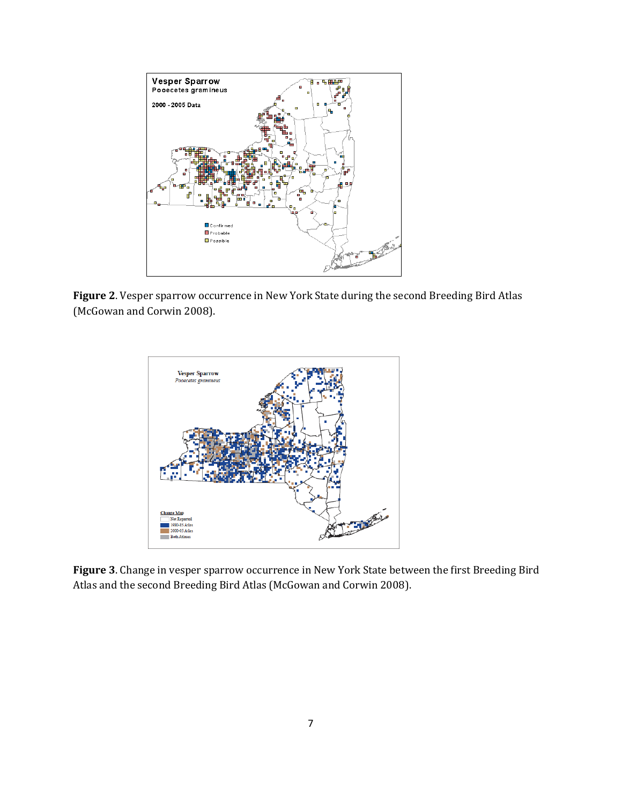

**Figure 2**. Vesper sparrow occurrence in New York State during the second Breeding Bird Atlas (McGowan and Corwin 2008).



**Figure 3**. Change in vesper sparrow occurrence in New York State between the first Breeding Bird Atlas and the second Breeding Bird Atlas (McGowan and Corwin 2008).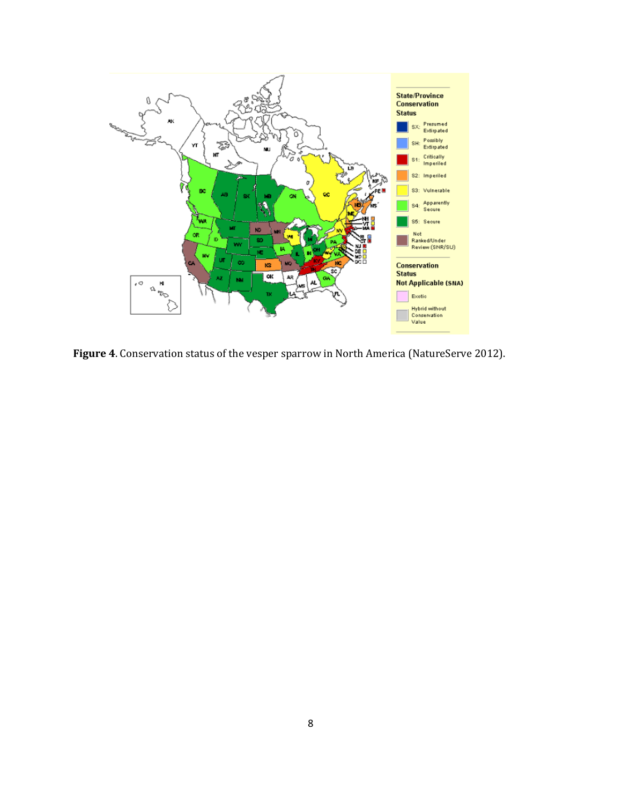

**Figure 4**. Conservation status of the vesper sparrow in North America (NatureServe 2012).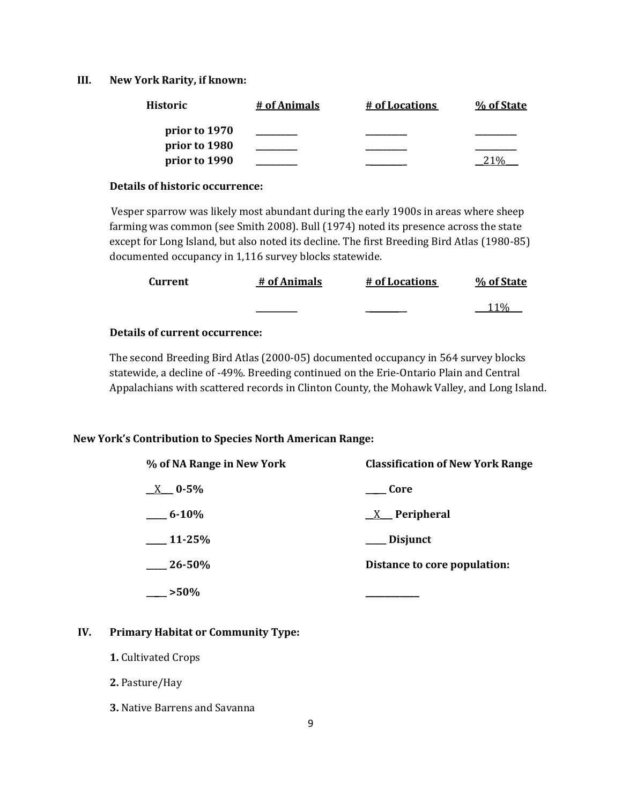#### **III. New York Rarity, if known:**

| <b>Historic</b> | # of Animals | # of Locations | % of State |
|-----------------|--------------|----------------|------------|
| prior to 1970   |              |                |            |
| prior to 1980   |              |                |            |
| prior to 1990   |              |                |            |

#### **Details of historic occurrence:**

Vesper sparrow was likely most abundant during the early 1900s in areas where sheep farming was common (see Smith 2008). Bull (1974) noted its presence across the state except for Long Island, but also noted its decline. The first Breeding Bird Atlas (1980-85) documented occupancy in 1,116 survey blocks statewide.

| Current | # of Animals | # of Locations | % of State |
|---------|--------------|----------------|------------|
|         |              |                | 11%        |

# **Details of current occurrence:**

The second Breeding Bird Atlas (2000-05) documented occupancy in 564 survey blocks statewide, a decline of -49%. Breeding continued on the Erie-Ontario Plain and Central Appalachians with scattered records in Clinton County, the Mohawk Valley, and Long Island.

## **New York's Contribution to Species North American Range:**

| % of NA Range in New York | <b>Classification of New York Range</b> |  |
|---------------------------|-----------------------------------------|--|
| $X = 0.5\%$               | Core                                    |  |
| $-6 - 10\%$               | $X$ Peripheral                          |  |
| $11 - 25%$                | ___ Disjunct                            |  |
| $26 - 50\%$               | Distance to core population:            |  |
| $-$ >50%                  |                                         |  |

# **IV. Primary Habitat or Community Type:**

- **1.** Cultivated Crops
- **2.** Pasture/Hay
- **3.** Native Barrens and Savanna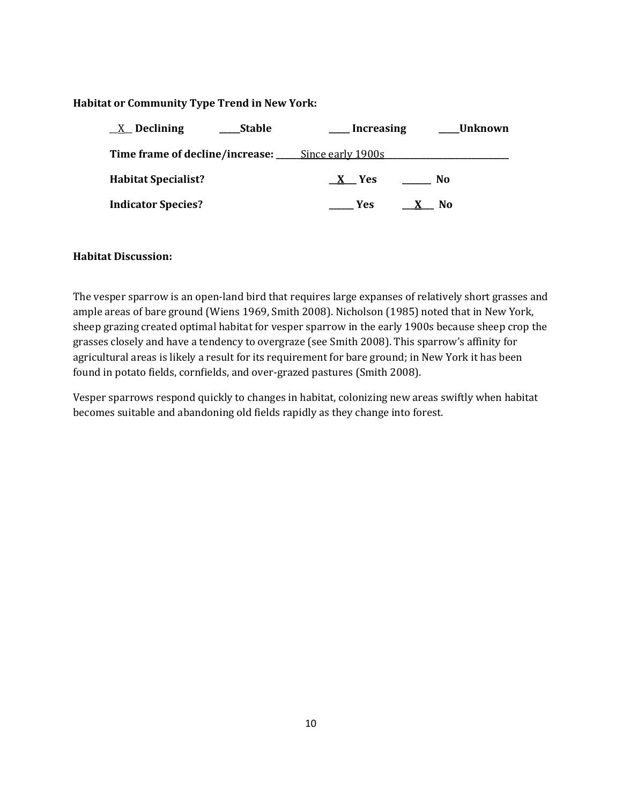# **Habitat or Community Type Trend in New York:**

| $X$ Declining<br>Stable                                  | <b>Increasing</b>    | Unknown |
|----------------------------------------------------------|----------------------|---------|
| <b>Time frame of decline/increase:</b> Since early 1900s |                      |         |
| <b>Habitat Specialist?</b>                               | X Yes                | No.     |
| <b>Indicator Species?</b>                                | Yes:<br>$\mathbf{X}$ | No.     |

### **Habitat Discussion:**

The vesper sparrow is an open-land bird that requires large expanses of relatively short grasses and ample areas of bare ground (Wiens 1969, Smith 2008). Nicholson (1985) noted that in New York, sheep grazing created optimal habitat for vesper sparrow in the early 1900s because sheep crop the grasses closely and have a tendency to overgraze (see Smith 2008). This sparrow's affinity for agricultural areas is likely a result for its requirement for bare ground; in New York it has been found in potato fields, cornfields, and over-grazed pastures (Smith 2008).

Vesper sparrows respond quickly to changes in habitat, colonizing new areas swiftly when habitat becomes suitable and abandoning old fields rapidly as they change into forest.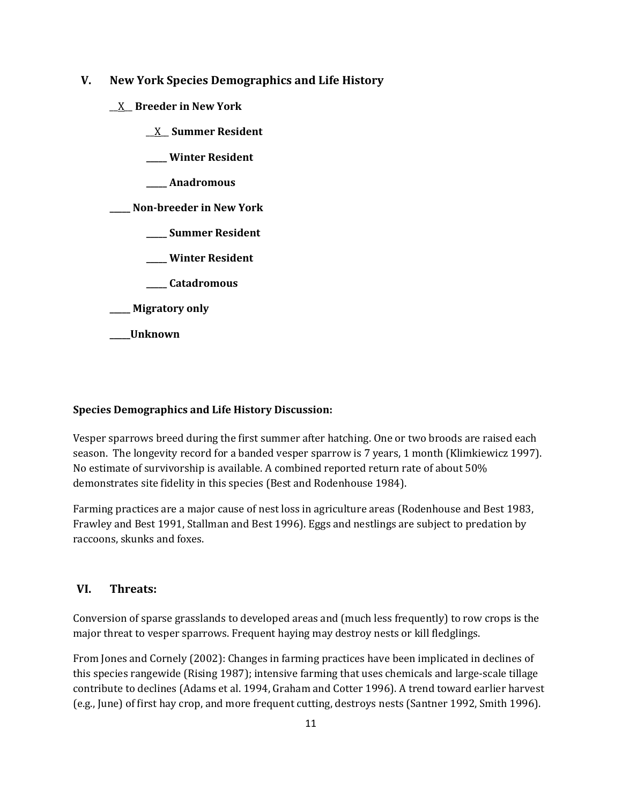# **V. New York Species Demographics and Life History**

- \_\_X\_\_ **Breeder in New York**
	- \_\_X\_\_ **Summer Resident**
	- **\_\_\_\_\_ Winter Resident**
	- **\_\_\_\_\_ Anadromous**

**\_\_\_\_\_ Non-breeder in New York**

- **\_\_\_\_\_ Summer Resident**
- **\_\_\_\_\_ Winter Resident**
- **\_\_\_\_\_ Catadromous**

**\_\_\_\_\_ Migratory only**

**\_\_\_\_\_Unknown**

#### **Species Demographics and Life History Discussion:**

Vesper sparrows breed during the first summer after hatching. One or two broods are raised each season. The longevity record for a banded vesper sparrow is 7 years, 1 month (Klimkiewicz 1997). No estimate of survivorship is available. A combined reported return rate of about 50% demonstrates site fidelity in this species (Best and Rodenhouse 1984).

Farming practices are a major cause of nest loss in agriculture areas (Rodenhouse and Best 1983, Frawley and Best 1991, Stallman and Best 1996). Eggs and nestlings are subject to predation by raccoons, skunks and foxes.

# **VI. Threats:**

Conversion of sparse grasslands to developed areas and (much less frequently) to row crops is the major threat to vesper sparrows. Frequent haying may destroy nests or kill fledglings.

From Jones and Cornely (2002): Changes in farming practices have been implicated in declines of this species rangewide (Rising 1987); intensive farming that uses chemicals and large-scale tillage contribute to declines (Adams et al. 1994, Graham and Cotter 1996). A trend toward earlier harvest (e.g., June) of first hay crop, and more frequent cutting, destroys nests (Santner 1992, Smith 1996).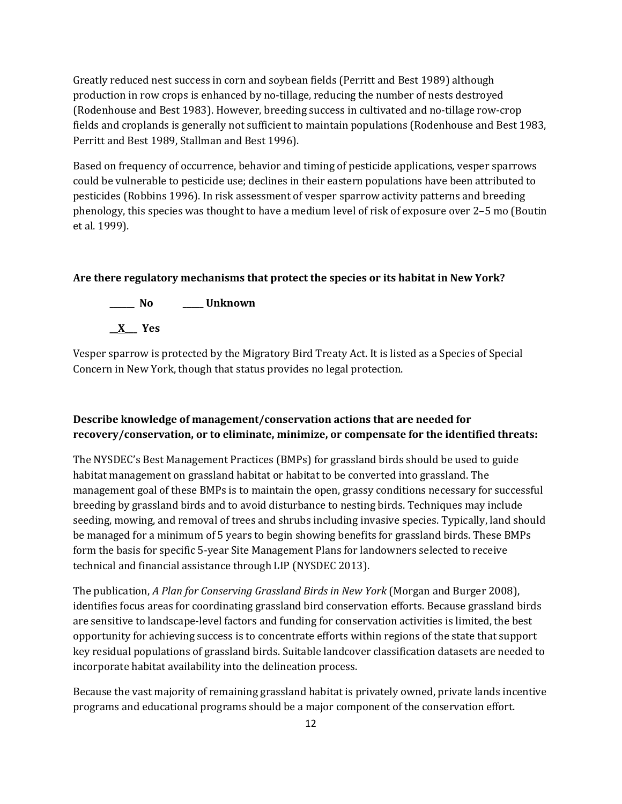Greatly reduced nest success in corn and soybean fields (Perritt and Best 1989) although production in row crops is enhanced by no-tillage, reducing the number of nests destroyed (Rodenhouse and Best 1983). However, breeding success in cultivated and no-tillage row-crop fields and croplands is generally not sufficient to maintain populations (Rodenhouse and Best 1983, Perritt and Best 1989, Stallman and Best 1996).

Based on frequency of occurrence, behavior and timing of pesticide applications, vesper sparrows could be vulnerable to pesticide use; declines in their eastern populations have been attributed to pesticides (Robbins 1996). In risk assessment of vesper sparrow activity patterns and breeding phenology, this species was thought to have a medium level of risk of exposure over 2–5 mo (Boutin et al. 1999).

#### **Are there regulatory mechanisms that protect the species or its habitat in New York?**



Vesper sparrow is protected by the Migratory Bird Treaty Act. It is listed as a Species of Special Concern in New York, though that status provides no legal protection.

# **Describe knowledge of management/conservation actions that are needed for recovery/conservation, or to eliminate, minimize, or compensate for the identified threats:**

The NYSDEC's Best Management Practices (BMPs) for grassland birds should be used to guide habitat management on grassland habitat or habitat to be converted into grassland. The management goal of these BMPs is to maintain the open, grassy conditions necessary for successful breeding by grassland birds and to avoid disturbance to nesting birds. Techniques may include seeding, mowing, and removal of trees and shrubs including invasive species. Typically, land should be managed for a minimum of 5 years to begin showing benefits for grassland birds. These BMPs form the basis for specific 5-year Site Management Plans for landowners selected to receive technical and financial assistance through LIP (NYSDEC 2013).

The publication, *A Plan for Conserving Grassland Birds in New York* (Morgan and Burger 2008), identifies focus areas for coordinating grassland bird conservation efforts. Because grassland birds are sensitive to landscape-level factors and funding for conservation activities is limited, the best opportunity for achieving success is to concentrate efforts within regions of the state that support key residual populations of grassland birds. Suitable landcover classification datasets are needed to incorporate habitat availability into the delineation process.

Because the vast majority of remaining grassland habitat is privately owned, private lands incentive programs and educational programs should be a major component of the conservation effort.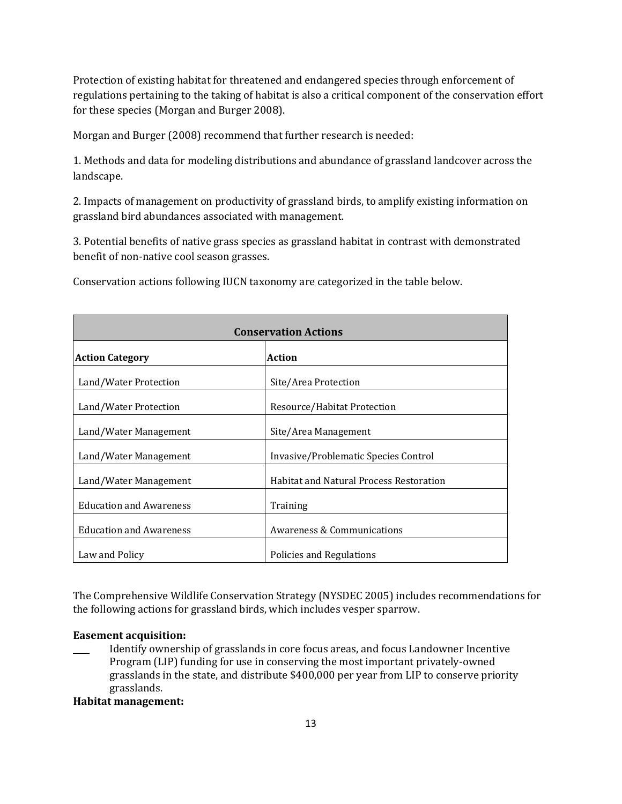Protection of existing habitat for threatened and endangered species through enforcement of regulations pertaining to the taking of habitat is also a critical component of the conservation effort for these species (Morgan and Burger 2008).

Morgan and Burger (2008) recommend that further research is needed:

1. Methods and data for modeling distributions and abundance of grassland landcover across the landscape.

2. Impacts of management on productivity of grassland birds, to amplify existing information on grassland bird abundances associated with management.

3. Potential benefits of native grass species as grassland habitat in contrast with demonstrated benefit of non-native cool season grasses.

| <b>Conservation Actions</b>             |                                                |  |
|-----------------------------------------|------------------------------------------------|--|
| <b>Action Category</b><br><b>Action</b> |                                                |  |
| Land/Water Protection                   | Site/Area Protection                           |  |
| Land/Water Protection                   | Resource/Habitat Protection                    |  |
| Land/Water Management                   | Site/Area Management                           |  |
| Land/Water Management                   | Invasive/Problematic Species Control           |  |
| Land/Water Management                   | <b>Habitat and Natural Process Restoration</b> |  |
| <b>Education and Awareness</b>          | Training                                       |  |
| <b>Education and Awareness</b>          | Awareness & Communications                     |  |
| Law and Policy                          | Policies and Regulations                       |  |

Conservation actions following IUCN taxonomy are categorized in the table below.

The Comprehensive Wildlife Conservation Strategy (NYSDEC 2005) includes recommendations for the following actions for grassland birds, which includes vesper sparrow.

### **Easement acquisition:**

\_\_\_\_ Identify ownership of grasslands in core focus areas, and focus Landowner Incentive Program (LIP) funding for use in conserving the most important privately-owned grasslands in the state, and distribute \$400,000 per year from LIP to conserve priority grasslands.

## **Habitat management:**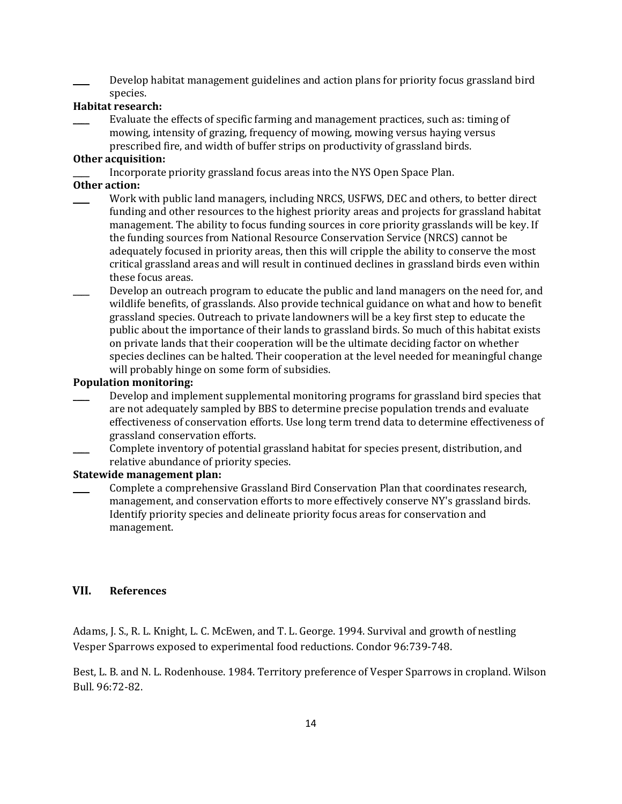Develop habitat management guidelines and action plans for priority focus grassland bird species.

### **Habitat research:**

\_\_\_\_ Evaluate the effects of specific farming and management practices, such as: timing of mowing, intensity of grazing, frequency of mowing, mowing versus haying versus prescribed fire, and width of buffer strips on productivity of grassland birds.

### **Other acquisition:**

Incorporate priority grassland focus areas into the NYS Open Space Plan.

#### **Other action:**

- Work with public land managers, including NRCS, USFWS, DEC and others, to better direct funding and other resources to the highest priority areas and projects for grassland habitat management. The ability to focus funding sources in core priority grasslands will be key. If the funding sources from National Resource Conservation Service (NRCS) cannot be adequately focused in priority areas, then this will cripple the ability to conserve the most critical grassland areas and will result in continued declines in grassland birds even within these focus areas.
- Develop an outreach program to educate the public and land managers on the need for, and wildlife benefits, of grasslands. Also provide technical guidance on what and how to benefit grassland species. Outreach to private landowners will be a key first step to educate the public about the importance of their lands to grassland birds. So much of this habitat exists on private lands that their cooperation will be the ultimate deciding factor on whether species declines can be halted. Their cooperation at the level needed for meaningful change will probably hinge on some form of subsidies.

#### **Population monitoring:**

- Develop and implement supplemental monitoring programs for grassland bird species that are not adequately sampled by BBS to determine precise population trends and evaluate effectiveness of conservation efforts. Use long term trend data to determine effectiveness of grassland conservation efforts.
- \_\_\_\_ Complete inventory of potential grassland habitat for species present, distribution, and relative abundance of priority species.

#### **Statewide management plan:**

\_\_\_\_ Complete a comprehensive Grassland Bird Conservation Plan that coordinates research, management, and conservation efforts to more effectively conserve NY's grassland birds. Identify priority species and delineate priority focus areas for conservation and management.

## **VII. References**

Adams, J. S., R. L. Knight, L. C. McEwen, and T. L. George. 1994. Survival and growth of nestling Vesper Sparrows exposed to experimental food reductions. Condor 96:739-748.

Best, L. B. and N. L. Rodenhouse. 1984. Territory preference of Vesper Sparrows in cropland. Wilson Bull. 96:72-82.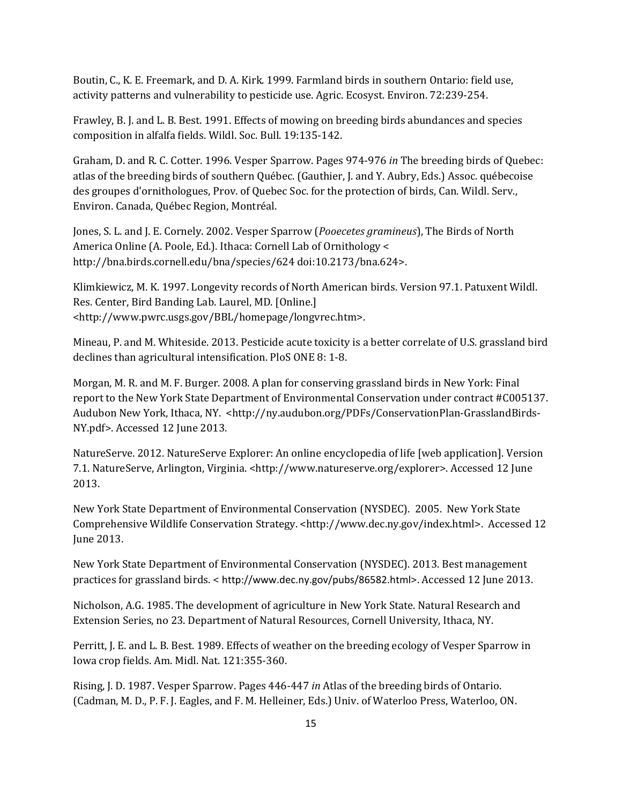Boutin, C., K. E. Freemark, and D. A. Kirk. 1999. Farmland birds in southern Ontario: field use, activity patterns and vulnerability to pesticide use. Agric. Ecosyst. Environ. 72:239-254.

Frawley, B. J. and L. B. Best. 1991. Effects of mowing on breeding birds abundances and species composition in alfalfa fields. Wildl. Soc. Bull. 19:135-142.

Graham, D. and R. C. Cotter. 1996. Vesper Sparrow. Pages 974-976 *in* The breeding birds of Quebec: atlas of the breeding birds of southern Québec. (Gauthier, J. and Y. Aubry, Eds.) Assoc. québecoise des groupes d'ornithologues, Prov. of Quebec Soc. for the protection of birds, Can. Wildl. Serv., Environ. Canada, Québec Region, Montréal.

Jones, S. L. and J. E. Cornely. 2002. Vesper Sparrow (*Pooecetes gramineus*), The Birds of North America Online (A. Poole, Ed.). Ithaca: Cornell Lab of Ornithology < http://bna.birds.cornell.edu/bna/species/624 doi:10.2173/bna.624>.

Klimkiewicz, M. K. 1997. Longevity records of North American birds. Version 97.1. Patuxent Wildl. Res. Center, Bird Banding Lab. Laurel, MD. [Online.] <http://www.pwrc.usgs.gov/BBL/homepage/longvrec.htm>.

Mineau, P. and M. Whiteside. 2013. Pesticide acute toxicity is a better correlate of U.S. grassland bird declines than agricultural intensification. PloS ONE 8: 1-8.

Morgan, M. R. and M. F. Burger. 2008. A plan for conserving grassland birds in New York: Final report to the New York State Department of Environmental Conservation under contract #C005137. Audubon New York, Ithaca, NY. <http://ny.audubon.org/PDFs/ConservationPlan-GrasslandBirds-NY.pdf>. Accessed 12 June 2013.

NatureServe. 2012. NatureServe Explorer: An online encyclopedia of life [web application]. Version 7.1. NatureServe, Arlington, Virginia. <http://www.natureserve.org/explorer>. Accessed 12 June 2013.

New York State Department of Environmental Conservation (NYSDEC). 2005. New York State Comprehensive Wildlife Conservation Strategy. <http://www.dec.ny.gov/index.html>. Accessed 12 June 2013.

New York State Department of Environmental Conservation (NYSDEC). 2013. Best management practices for grassland birds. < http://www.dec.ny.gov/pubs/86582.html>. Accessed 12 June 2013.

Nicholson, A.G. 1985. The development of agriculture in New York State. Natural Research and Extension Series, no 23. Department of Natural Resources, Cornell University, Ithaca, NY.

Perritt, J. E. and L. B. Best. 1989. Effects of weather on the breeding ecology of Vesper Sparrow in Iowa crop fields. Am. Midl. Nat. 121:355-360.

Rising, J. D. 1987. Vesper Sparrow. Pages 446-447 *in* Atlas of the breeding birds of Ontario. (Cadman, M. D., P. F. J. Eagles, and F. M. Helleiner, Eds.) Univ. of Waterloo Press, Waterloo, ON.